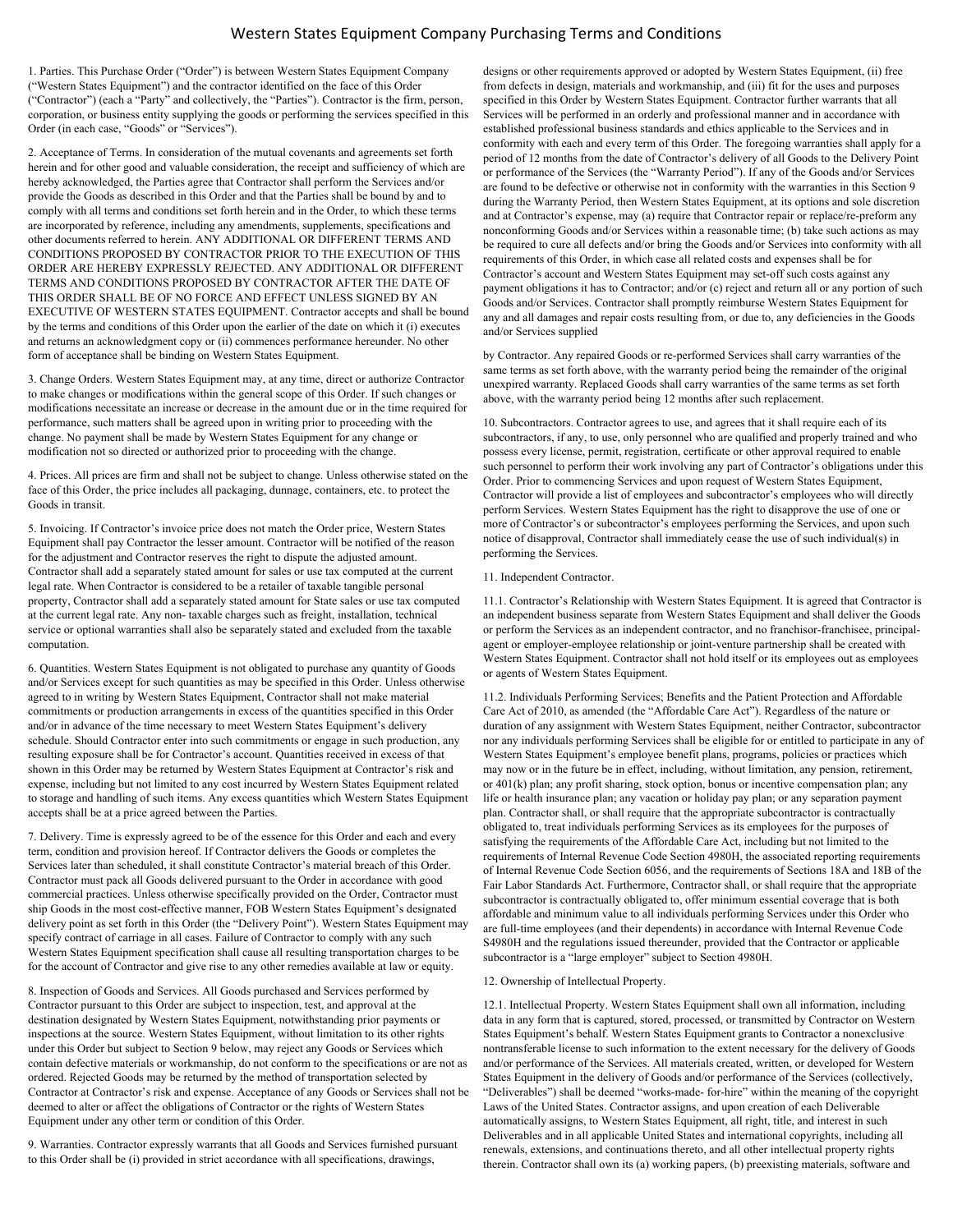## Western States Equipment Company Purchasing Terms and Conditions

1. Parties. This Purchase Order ("Order") is between Western States Equipment Company ("Western States Equipment") and the contractor identified on the face of this Order ("Contractor") (each a "Party" and collectively, the "Parties"). Contractor is the firm, person, corporation, or business entity supplying the goods or performing the services specified in this Order (in each case, "Goods" or "Services").

2. Acceptance of Terms. In consideration of the mutual covenants and agreements set forth herein and for other good and valuable consideration, the receipt and sufficiency of which are hereby acknowledged, the Parties agree that Contractor shall perform the Services and/or provide the Goods as described in this Order and that the Parties shall be bound by and to comply with all terms and conditions set forth herein and in the Order, to which these terms are incorporated by reference, including any amendments, supplements, specifications and other documents referred to herein. ANY ADDITIONAL OR DIFFERENT TERMS AND CONDITIONS PROPOSED BY CONTRACTOR PRIOR TO THE EXECUTION OF THIS ORDER ARE HEREBY EXPRESSLY REJECTED. ANY ADDITIONAL OR DIFFERENT TERMS AND CONDITIONS PROPOSED BY CONTRACTOR AFTER THE DATE OF THIS ORDER SHALL BE OF NO FORCE AND EFFECT UNLESS SIGNED BY AN EXECUTIVE OF WESTERN STATES EQUIPMENT. Contractor accepts and shall be bound by the terms and conditions of this Order upon the earlier of the date on which it (i) executes and returns an acknowledgment copy or (ii) commences performance hereunder. No other form of acceptance shall be binding on Western States Equipment.

3. Change Orders. Western States Equipment may, at any time, direct or authorize Contractor to make changes or modifications within the general scope of this Order. If such changes or modifications necessitate an increase or decrease in the amount due or in the time required for performance, such matters shall be agreed upon in writing prior to proceeding with the change. No payment shall be made by Western States Equipment for any change or modification not so directed or authorized prior to proceeding with the change.

4. Prices. All prices are firm and shall not be subject to change. Unless otherwise stated on the face of this Order, the price includes all packaging, dunnage, containers, etc. to protect the Goods in transit.

5. Invoicing. If Contractor's invoice price does not match the Order price, Western States Equipment shall pay Contractor the lesser amount. Contractor will be notified of the reason for the adjustment and Contractor reserves the right to dispute the adjusted amount. Contractor shall add a separately stated amount for sales or use tax computed at the current legal rate. When Contractor is considered to be a retailer of taxable tangible personal property, Contractor shall add a separately stated amount for State sales or use tax computed at the current legal rate. Any non- taxable charges such as freight, installation, technical service or optional warranties shall also be separately stated and excluded from the taxable computation.

6. Quantities. Western States Equipment is not obligated to purchase any quantity of Goods and/or Services except for such quantities as may be specified in this Order. Unless otherwise agreed to in writing by Western States Equipment, Contractor shall not make material commitments or production arrangements in excess of the quantities specified in this Order and/or in advance of the time necessary to meet Western States Equipment's delivery schedule. Should Contractor enter into such commitments or engage in such production, any resulting exposure shall be for Contractor's account. Quantities received in excess of that shown in this Order may be returned by Western States Equipment at Contractor's risk and expense, including but not limited to any cost incurred by Western States Equipment related to storage and handling of such items. Any excess quantities which Western States Equipment accepts shall be at a price agreed between the Parties.

7. Delivery. Time is expressly agreed to be of the essence for this Order and each and every term, condition and provision hereof. If Contractor delivers the Goods or completes the Services later than scheduled, it shall constitute Contractor's material breach of this Order. Contractor must pack all Goods delivered pursuant to the Order in accordance with good commercial practices. Unless otherwise specifically provided on the Order, Contractor must ship Goods in the most cost-effective manner, FOB Western States Equipment's designated delivery point as set forth in this Order (the "Delivery Point"). Western States Equipment may specify contract of carriage in all cases. Failure of Contractor to comply with any such Western States Equipment specification shall cause all resulting transportation charges to be for the account of Contractor and give rise to any other remedies available at law or equity.

8. Inspection of Goods and Services. All Goods purchased and Services performed by Contractor pursuant to this Order are subject to inspection, test, and approval at the destination designated by Western States Equipment, notwithstanding prior payments or inspections at the source. Western States Equipment, without limitation to its other rights under this Order but subject to Section 9 below, may reject any Goods or Services which contain defective materials or workmanship, do not conform to the specifications or are not as ordered. Rejected Goods may be returned by the method of transportation selected by Contractor at Contractor's risk and expense. Acceptance of any Goods or Services shall not be deemed to alter or affect the obligations of Contractor or the rights of Western States Equipment under any other term or condition of this Order.

9. Warranties. Contractor expressly warrants that all Goods and Services furnished pursuant to this Order shall be (i) provided in strict accordance with all specifications, drawings,

designs or other requirements approved or adopted by Western States Equipment, (ii) free from defects in design, materials and workmanship, and (iii) fit for the uses and purposes specified in this Order by Western States Equipment. Contractor further warrants that all Services will be performed in an orderly and professional manner and in accordance with established professional business standards and ethics applicable to the Services and in conformity with each and every term of this Order. The foregoing warranties shall apply for a period of 12 months from the date of Contractor's delivery of all Goods to the Delivery Point or performance of the Services (the "Warranty Period"). If any of the Goods and/or Services are found to be defective or otherwise not in conformity with the warranties in this Section 9 during the Warranty Period, then Western States Equipment, at its options and sole discretion and at Contractor's expense, may (a) require that Contractor repair or replace/re-preform any nonconforming Goods and/or Services within a reasonable time; (b) take such actions as may be required to cure all defects and/or bring the Goods and/or Services into conformity with all requirements of this Order, in which case all related costs and expenses shall be for Contractor's account and Western States Equipment may set-off such costs against any payment obligations it has to Contractor; and/or (c) reject and return all or any portion of such Goods and/or Services. Contractor shall promptly reimburse Western States Equipment for any and all damages and repair costs resulting from, or due to, any deficiencies in the Goods and/or Services supplied

by Contractor. Any repaired Goods or re-performed Services shall carry warranties of the same terms as set forth above, with the warranty period being the remainder of the original unexpired warranty. Replaced Goods shall carry warranties of the same terms as set forth above, with the warranty period being 12 months after such replacement.

10. Subcontractors. Contractor agrees to use, and agrees that it shall require each of its subcontractors, if any, to use, only personnel who are qualified and properly trained and who possess every license, permit, registration, certificate or other approval required to enable such personnel to perform their work involving any part of Contractor's obligations under this Order. Prior to commencing Services and upon request of Western States Equipment, Contractor will provide a list of employees and subcontractor's employees who will directly perform Services. Western States Equipment has the right to disapprove the use of one or more of Contractor's or subcontractor's employees performing the Services, and upon such notice of disapproval, Contractor shall immediately cease the use of such individual(s) in performing the Services.

#### 11. Independent Contractor.

11.1. Contractor's Relationship with Western States Equipment. It is agreed that Contractor is an independent business separate from Western States Equipment and shall deliver the Goods or perform the Services as an independent contractor, and no franchisor-franchisee, principalagent or employer-employee relationship or joint-venture partnership shall be created with Western States Equipment. Contractor shall not hold itself or its employees out as employees or agents of Western States Equipment.

11.2. Individuals Performing Services; Benefits and the Patient Protection and Affordable Care Act of 2010, as amended (the "Affordable Care Act"). Regardless of the nature or duration of any assignment with Western States Equipment, neither Contractor, subcontractor nor any individuals performing Services shall be eligible for or entitled to participate in any of Western States Equipment's employee benefit plans, programs, policies or practices which may now or in the future be in effect, including, without limitation, any pension, retirement, or 401(k) plan; any profit sharing, stock option, bonus or incentive compensation plan; any life or health insurance plan; any vacation or holiday pay plan; or any separation payment plan. Contractor shall, or shall require that the appropriate subcontractor is contractually obligated to, treat individuals performing Services as its employees for the purposes of satisfying the requirements of the Affordable Care Act, including but not limited to the requirements of Internal Revenue Code Section 4980H, the associated reporting requirements of Internal Revenue Code Section 6056, and the requirements of Sections 18A and 18B of the Fair Labor Standards Act. Furthermore, Contractor shall, or shall require that the appropriate subcontractor is contractually obligated to, offer minimum essential coverage that is both affordable and minimum value to all individuals performing Services under this Order who are full-time employees (and their dependents) in accordance with Internal Revenue Code S4980H and the regulations issued thereunder, provided that the Contractor or applicable subcontractor is a "large employer" subject to Section 4980H.

### 12. Ownership of Intellectual Property.

12.1. Intellectual Property. Western States Equipment shall own all information, including data in any form that is captured, stored, processed, or transmitted by Contractor on Western States Equipment's behalf. Western States Equipment grants to Contractor a nonexclusive nontransferable license to such information to the extent necessary for the delivery of Goods and/or performance of the Services. All materials created, written, or developed for Western States Equipment in the delivery of Goods and/or performance of the Services (collectively, "Deliverables") shall be deemed "works‐made‐ for‐hire" within the meaning of the copyright Laws of the United States. Contractor assigns, and upon creation of each Deliverable automatically assigns, to Western States Equipment, all right, title, and interest in such Deliverables and in all applicable United States and international copyrights, including all renewals, extensions, and continuations thereto, and all other intellectual property rights therein. Contractor shall own its (a) working papers, (b) preexisting materials, software and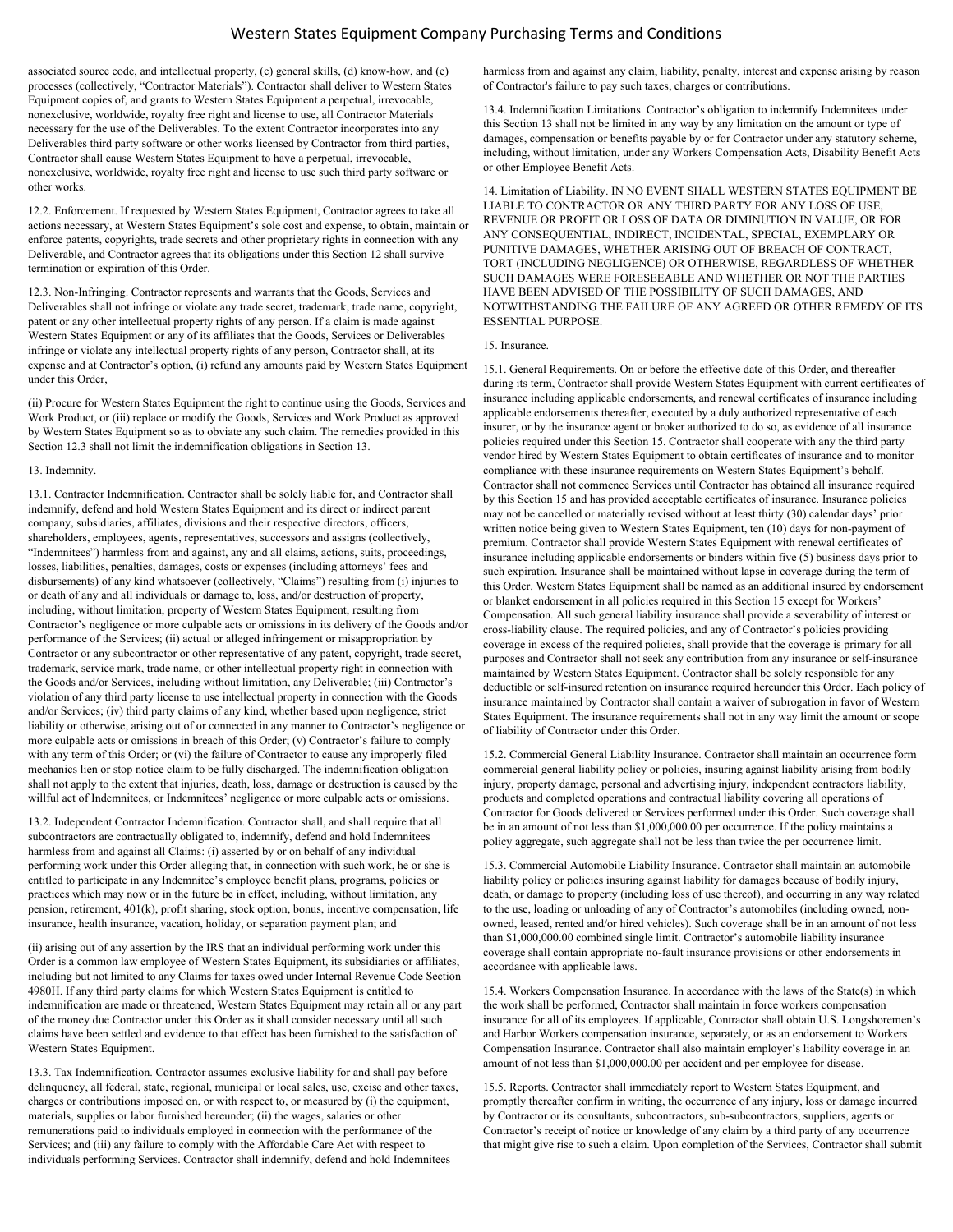## Western States Equipment Company Purchasing Terms and Conditions

associated source code, and intellectual property, (c) general skills, (d) know‐how, and (e) processes (collectively, "Contractor Materials"). Contractor shall deliver to Western States Equipment copies of, and grants to Western States Equipment a perpetual, irrevocable, nonexclusive, worldwide, royalty free right and license to use, all Contractor Materials necessary for the use of the Deliverables. To the extent Contractor incorporates into any Deliverables third party software or other works licensed by Contractor from third parties, Contractor shall cause Western States Equipment to have a perpetual, irrevocable, nonexclusive, worldwide, royalty free right and license to use such third party software or other works.

12.2. Enforcement. If requested by Western States Equipment, Contractor agrees to take all actions necessary, at Western States Equipment's sole cost and expense, to obtain, maintain or enforce patents, copyrights, trade secrets and other proprietary rights in connection with any Deliverable, and Contractor agrees that its obligations under this Section 12 shall survive termination or expiration of this Order.

12.3. Non-Infringing. Contractor represents and warrants that the Goods, Services and Deliverables shall not infringe or violate any trade secret, trademark, trade name, copyright, patent or any other intellectual property rights of any person. If a claim is made against Western States Equipment or any of its affiliates that the Goods, Services or Deliverables infringe or violate any intellectual property rights of any person, Contractor shall, at its expense and at Contractor's option, (i) refund any amounts paid by Western States Equipment under this Order,

(ii) Procure for Western States Equipment the right to continue using the Goods, Services and Work Product, or (iii) replace or modify the Goods, Services and Work Product as approved by Western States Equipment so as to obviate any such claim. The remedies provided in this Section 12.3 shall not limit the indemnification obligations in Section 13.

#### 13. Indemnity.

13.1. Contractor Indemnification. Contractor shall be solely liable for, and Contractor shall indemnify, defend and hold Western States Equipment and its direct or indirect parent company, subsidiaries, affiliates, divisions and their respective directors, officers, shareholders, employees, agents, representatives, successors and assigns (collectively, "Indemnitees") harmless from and against, any and all claims, actions, suits, proceedings, losses, liabilities, penalties, damages, costs or expenses (including attorneys' fees and disbursements) of any kind whatsoever (collectively, "Claims") resulting from (i) injuries to or death of any and all individuals or damage to, loss, and/or destruction of property, including, without limitation, property of Western States Equipment, resulting from Contractor's negligence or more culpable acts or omissions in its delivery of the Goods and/or performance of the Services; (ii) actual or alleged infringement or misappropriation by Contractor or any subcontractor or other representative of any patent, copyright, trade secret, trademark, service mark, trade name, or other intellectual property right in connection with the Goods and/or Services, including without limitation, any Deliverable; (iii) Contractor's violation of any third party license to use intellectual property in connection with the Goods and/or Services; (iv) third party claims of any kind, whether based upon negligence, strict liability or otherwise, arising out of or connected in any manner to Contractor's negligence or more culpable acts or omissions in breach of this Order; (v) Contractor's failure to comply with any term of this Order; or (vi) the failure of Contractor to cause any improperly filed mechanics lien or stop notice claim to be fully discharged. The indemnification obligation shall not apply to the extent that injuries, death, loss, damage or destruction is caused by the willful act of Indemnitees, or Indemnitees' negligence or more culpable acts or omissions.

13.2. Independent Contractor Indemnification. Contractor shall, and shall require that all subcontractors are contractually obligated to, indemnify, defend and hold Indemnitees harmless from and against all Claims: (i) asserted by or on behalf of any individual performing work under this Order alleging that, in connection with such work, he or she is entitled to participate in any Indemnitee's employee benefit plans, programs, policies or practices which may now or in the future be in effect, including, without limitation, any pension, retirement, 401(k), profit sharing, stock option, bonus, incentive compensation, life insurance, health insurance, vacation, holiday, or separation payment plan; and

(ii) arising out of any assertion by the IRS that an individual performing work under this Order is a common law employee of Western States Equipment, its subsidiaries or affiliates, including but not limited to any Claims for taxes owed under Internal Revenue Code Section 4980H. If any third party claims for which Western States Equipment is entitled to indemnification are made or threatened, Western States Equipment may retain all or any part of the money due Contractor under this Order as it shall consider necessary until all such claims have been settled and evidence to that effect has been furnished to the satisfaction of Western States Equipment.

13.3. Tax Indemnification. Contractor assumes exclusive liability for and shall pay before delinquency, all federal, state, regional, municipal or local sales, use, excise and other taxes, charges or contributions imposed on, or with respect to, or measured by (i) the equipment, materials, supplies or labor furnished hereunder; (ii) the wages, salaries or other remunerations paid to individuals employed in connection with the performance of the Services; and (iii) any failure to comply with the Affordable Care Act with respect to individuals performing Services. Contractor shall indemnify, defend and hold Indemnitees

harmless from and against any claim, liability, penalty, interest and expense arising by reason of Contractor's failure to pay such taxes, charges or contributions.

13.4. Indemnification Limitations. Contractor's obligation to indemnify Indemnitees under this Section 13 shall not be limited in any way by any limitation on the amount or type of damages, compensation or benefits payable by or for Contractor under any statutory scheme, including, without limitation, under any Workers Compensation Acts, Disability Benefit Acts or other Employee Benefit Acts.

14. Limitation of Liability. IN NO EVENT SHALL WESTERN STATES EQUIPMENT BE LIABLE TO CONTRACTOR OR ANY THIRD PARTY FOR ANY LOSS OF USE, REVENUE OR PROFIT OR LOSS OF DATA OR DIMINUTION IN VALUE, OR FOR ANY CONSEQUENTIAL, INDIRECT, INCIDENTAL, SPECIAL, EXEMPLARY OR PUNITIVE DAMAGES, WHETHER ARISING OUT OF BREACH OF CONTRACT, TORT (INCLUDING NEGLIGENCE) OR OTHERWISE, REGARDLESS OF WHETHER SUCH DAMAGES WERE FORESEEABLE AND WHETHER OR NOT THE PARTIES HAVE BEEN ADVISED OF THE POSSIBILITY OF SUCH DAMAGES, AND NOTWITHSTANDING THE FAILURE OF ANY AGREED OR OTHER REMEDY OF ITS ESSENTIAL PURPOSE.

#### 15. Insurance.

15.1. General Requirements. On or before the effective date of this Order, and thereafter during its term, Contractor shall provide Western States Equipment with current certificates of insurance including applicable endorsements, and renewal certificates of insurance including applicable endorsements thereafter, executed by a duly authorized representative of each insurer, or by the insurance agent or broker authorized to do so, as evidence of all insurance policies required under this Section 15. Contractor shall cooperate with any the third party vendor hired by Western States Equipment to obtain certificates of insurance and to monitor compliance with these insurance requirements on Western States Equipment's behalf. Contractor shall not commence Services until Contractor has obtained all insurance required by this Section 15 and has provided acceptable certificates of insurance. Insurance policies may not be cancelled or materially revised without at least thirty (30) calendar days' prior written notice being given to Western States Equipment, ten (10) days for non-payment of premium. Contractor shall provide Western States Equipment with renewal certificates of insurance including applicable endorsements or binders within five (5) business days prior to such expiration. Insurance shall be maintained without lapse in coverage during the term of this Order. Western States Equipment shall be named as an additional insured by endorsement or blanket endorsement in all policies required in this Section 15 except for Workers' Compensation. All such general liability insurance shall provide a severability of interest or cross-liability clause. The required policies, and any of Contractor's policies providing coverage in excess of the required policies, shall provide that the coverage is primary for all purposes and Contractor shall not seek any contribution from any insurance or self-insurance maintained by Western States Equipment. Contractor shall be solely responsible for any deductible or self-insured retention on insurance required hereunder this Order. Each policy of insurance maintained by Contractor shall contain a waiver of subrogation in favor of Western States Equipment. The insurance requirements shall not in any way limit the amount or scope of liability of Contractor under this Order.

15.2. Commercial General Liability Insurance. Contractor shall maintain an occurrence form commercial general liability policy or policies, insuring against liability arising from bodily injury, property damage, personal and advertising injury, independent contractors liability, products and completed operations and contractual liability covering all operations of Contractor for Goods delivered or Services performed under this Order. Such coverage shall be in an amount of not less than \$1,000,000.00 per occurrence. If the policy maintains a policy aggregate, such aggregate shall not be less than twice the per occurrence limit.

15.3. Commercial Automobile Liability Insurance. Contractor shall maintain an automobile liability policy or policies insuring against liability for damages because of bodily injury, death, or damage to property (including loss of use thereof), and occurring in any way related to the use, loading or unloading of any of Contractor's automobiles (including owned, nonowned, leased, rented and/or hired vehicles). Such coverage shall be in an amount of not less than \$1,000,000.00 combined single limit. Contractor's automobile liability insurance coverage shall contain appropriate no-fault insurance provisions or other endorsements in accordance with applicable laws.

15.4. Workers Compensation Insurance. In accordance with the laws of the State(s) in which the work shall be performed, Contractor shall maintain in force workers compensation insurance for all of its employees. If applicable, Contractor shall obtain U.S. Longshoremen's and Harbor Workers compensation insurance, separately, or as an endorsement to Workers Compensation Insurance. Contractor shall also maintain employer's liability coverage in an amount of not less than \$1,000,000.00 per accident and per employee for disease.

15.5. Reports. Contractor shall immediately report to Western States Equipment, and promptly thereafter confirm in writing, the occurrence of any injury, loss or damage incurred by Contractor or its consultants, subcontractors, sub-subcontractors, suppliers, agents or Contractor's receipt of notice or knowledge of any claim by a third party of any occurrence that might give rise to such a claim. Upon completion of the Services, Contractor shall submit